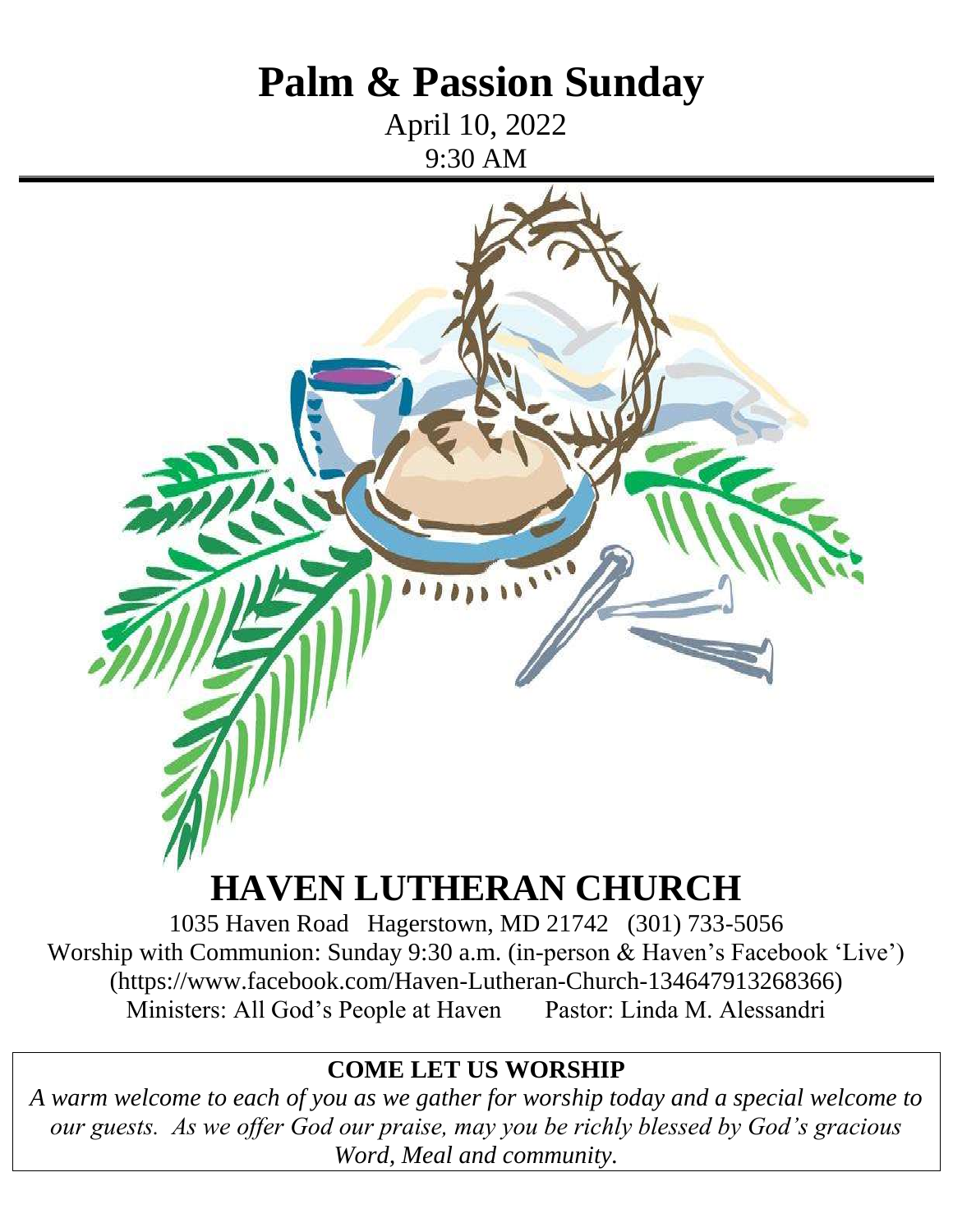# **Palm & Passion Sunday**

April 10, 2022 9:30 AM



# **HAVEN LUTHERAN CHURCH**

1035 Haven Road Hagerstown, MD 21742 (301) 733-5056 Worship with Communion: Sunday 9:30 a.m. (in-person & Haven's Facebook 'Live') (https://www.facebook.com/Haven-Lutheran-Church-134647913268366) Ministers: All God's People at Haven Pastor: Linda M. Alessandri

#### **COME LET US WORSHIP**

*A warm welcome to each of you as we gather for worship today and a special welcome to our guests. As we offer God our praise, may you be richly blessed by God's gracious Word, Meal and community.*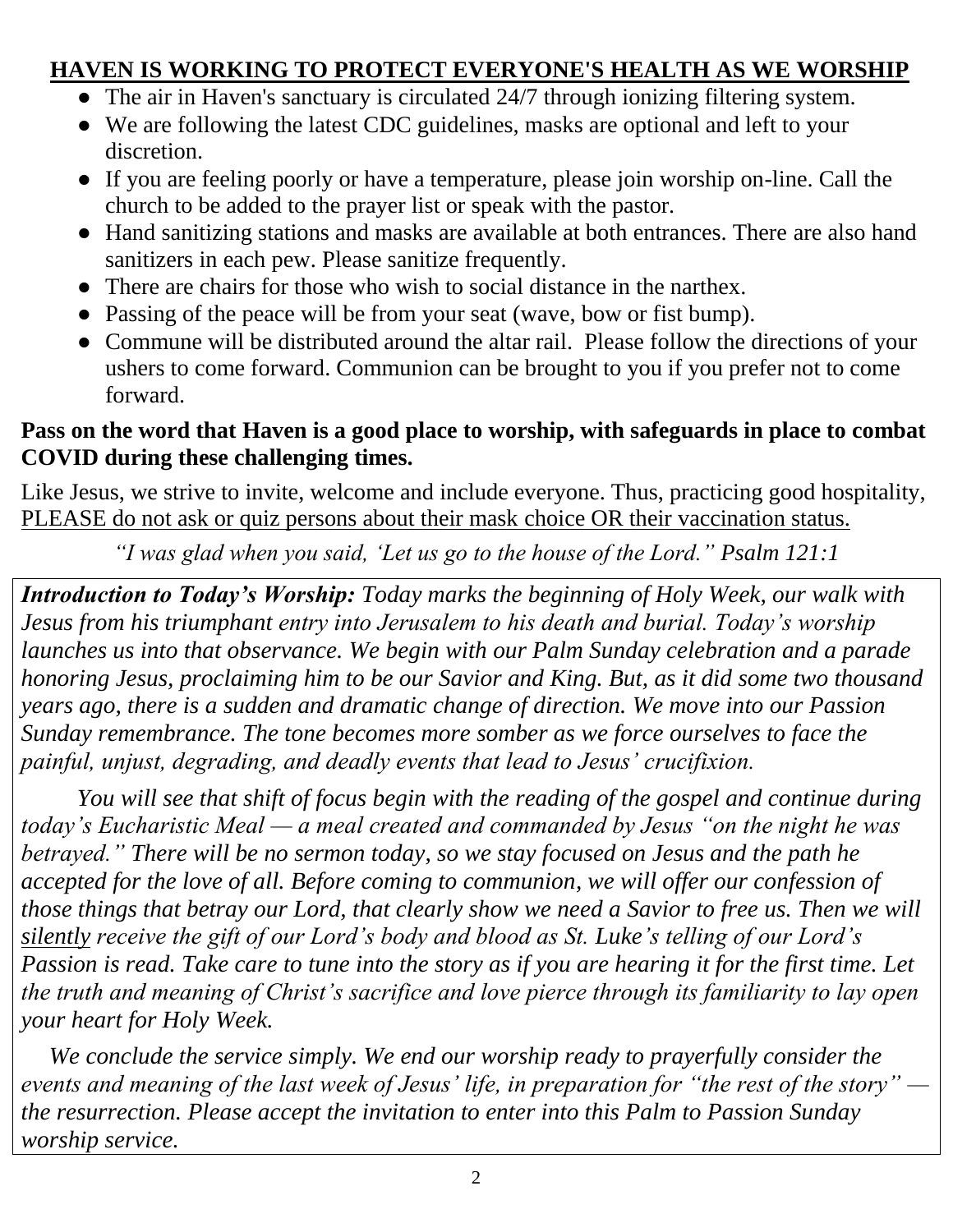## **HAVEN IS WORKING TO PROTECT EVERYONE'S HEALTH AS WE WORSHIP**

- The air in Haven's sanctuary is circulated 24/7 through ionizing filtering system.
- We are following the latest CDC guidelines, masks are optional and left to your discretion.
- If you are feeling poorly or have a temperature, please join worship on-line. Call the church to be added to the prayer list or speak with the pastor.
- Hand sanitizing stations and masks are available at both entrances. There are also hand sanitizers in each pew. Please sanitize frequently.
- There are chairs for those who wish to social distance in the narthex.
- Passing of the peace will be from your seat (wave, bow or fist bump).
- Commune will be distributed around the altar rail. Please follow the directions of your ushers to come forward. Communion can be brought to you if you prefer not to come forward.

#### **Pass on the word that Haven is a good place to worship, with safeguards in place to combat COVID during these challenging times.**

Like Jesus, we strive to invite, welcome and include everyone. Thus, practicing good hospitality, PLEASE do not ask or quiz persons about their mask choice OR their vaccination status.

*"I was glad when you said, 'Let us go to the house of the Lord." Psalm 121:1*

*Introduction to Today's Worship: Today marks the beginning of Holy Week, our walk with Jesus from his triumphant entry into Jerusalem to his death and burial. Today's worship launches us into that observance. We begin with our Palm Sunday celebration and a parade honoring Jesus, proclaiming him to be our Savior and King. But, as it did some two thousand years ago, there is a sudden and dramatic change of direction. We move into our Passion Sunday remembrance. The tone becomes more somber as we force ourselves to face the painful, unjust, degrading, and deadly events that lead to Jesus' crucifixion.*

*You will see that shift of focus begin with the reading of the gospel and continue during today's Eucharistic Meal — a meal created and commanded by Jesus "on the night he was betrayed." There will be no sermon today, so we stay focused on Jesus and the path he accepted for the love of all. Before coming to communion, we will offer our confession of those things that betray our Lord, that clearly show we need a Savior to free us. Then we will silently receive the gift of our Lord's body and blood as St. Luke's telling of our Lord's Passion is read. Take care to tune into the story as if you are hearing it for the first time. Let the truth and meaning of Christ's sacrifice and love pierce through its familiarity to lay open your heart for Holy Week.*

*We conclude the service simply. We end our worship ready to prayerfully consider the events and meaning of the last week of Jesus' life, in preparation for "the rest of the story" the resurrection. Please accept the invitation to enter into this Palm to Passion Sunday worship service.*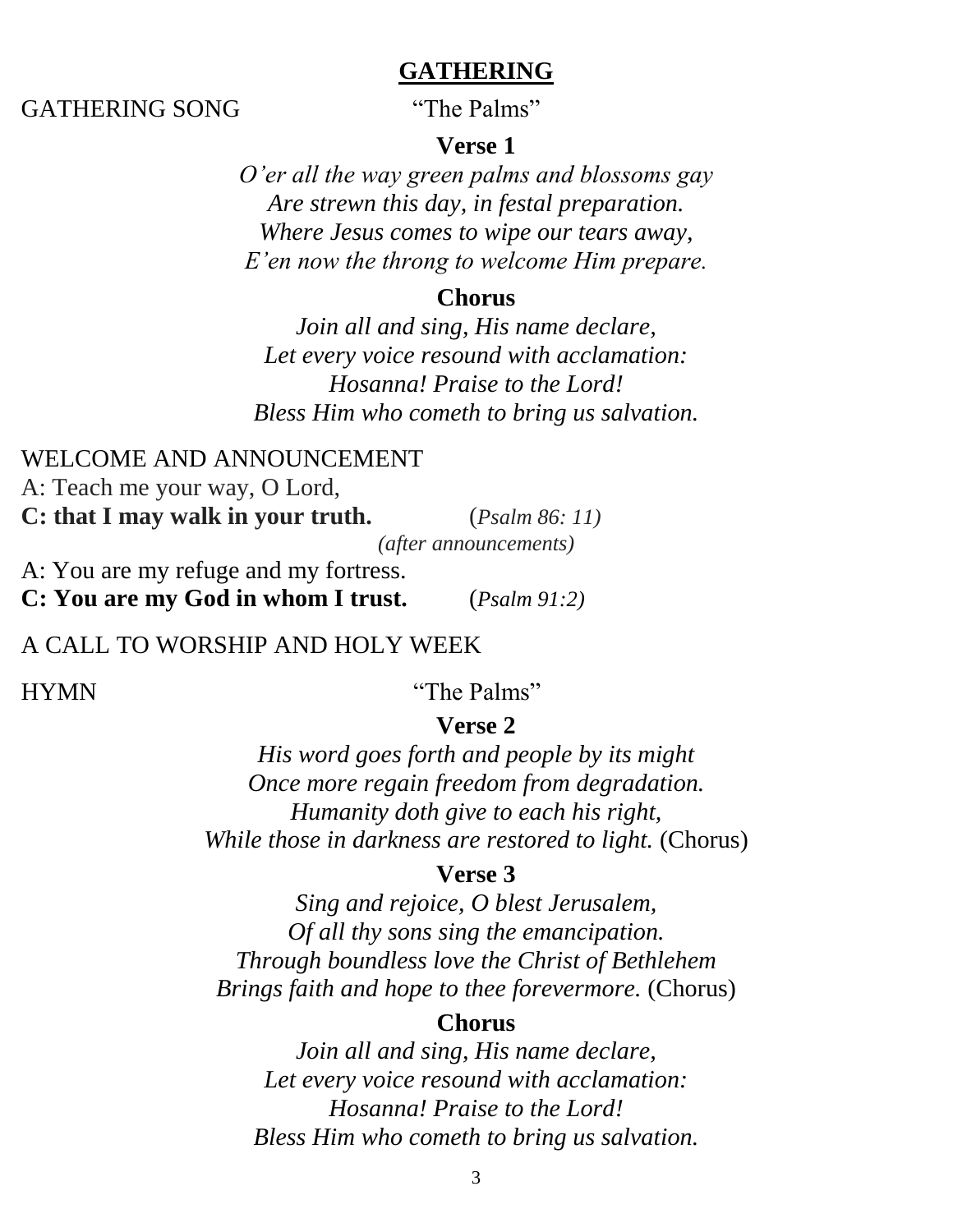#### **GATHERING**

#### GATHERING SONG "The Palms"

#### **Verse 1**

*O'er all the way green palms and blossoms gay Are strewn this day, in festal preparation. Where Jesus comes to wipe our tears away, E'en now the throng to welcome Him prepare.*

#### **Chorus**

*Join all and sing, His name declare, Let every voice resound with acclamation: Hosanna! Praise to the Lord! Bless Him who cometh to bring us salvation.*

#### WELCOME AND ANNOUNCEMENT

A: Teach me your way, O Lord,

**C: that I may walk in your truth.** (*Psalm 86: 11)*

*(after announcements)*

A: You are my refuge and my fortress.

**C: You are my God in whom I trust.** (*Psalm 91:2)*

#### A CALL TO WORSHIP AND HOLY WEEK

HYMN "The Palms"

#### **Verse 2**

*His word goes forth and people by its might Once more regain freedom from degradation. Humanity doth give to each his right, While those in darkness are restored to light.* (Chorus)

#### **Verse 3**

*Sing and rejoice, O blest Jerusalem, Of all thy sons sing the emancipation. Through boundless love the Christ of Bethlehem Brings faith and hope to thee forevermore.* (Chorus)

#### **Chorus**

*Join all and sing, His name declare, Let every voice resound with acclamation: Hosanna! Praise to the Lord! Bless Him who cometh to bring us salvation.*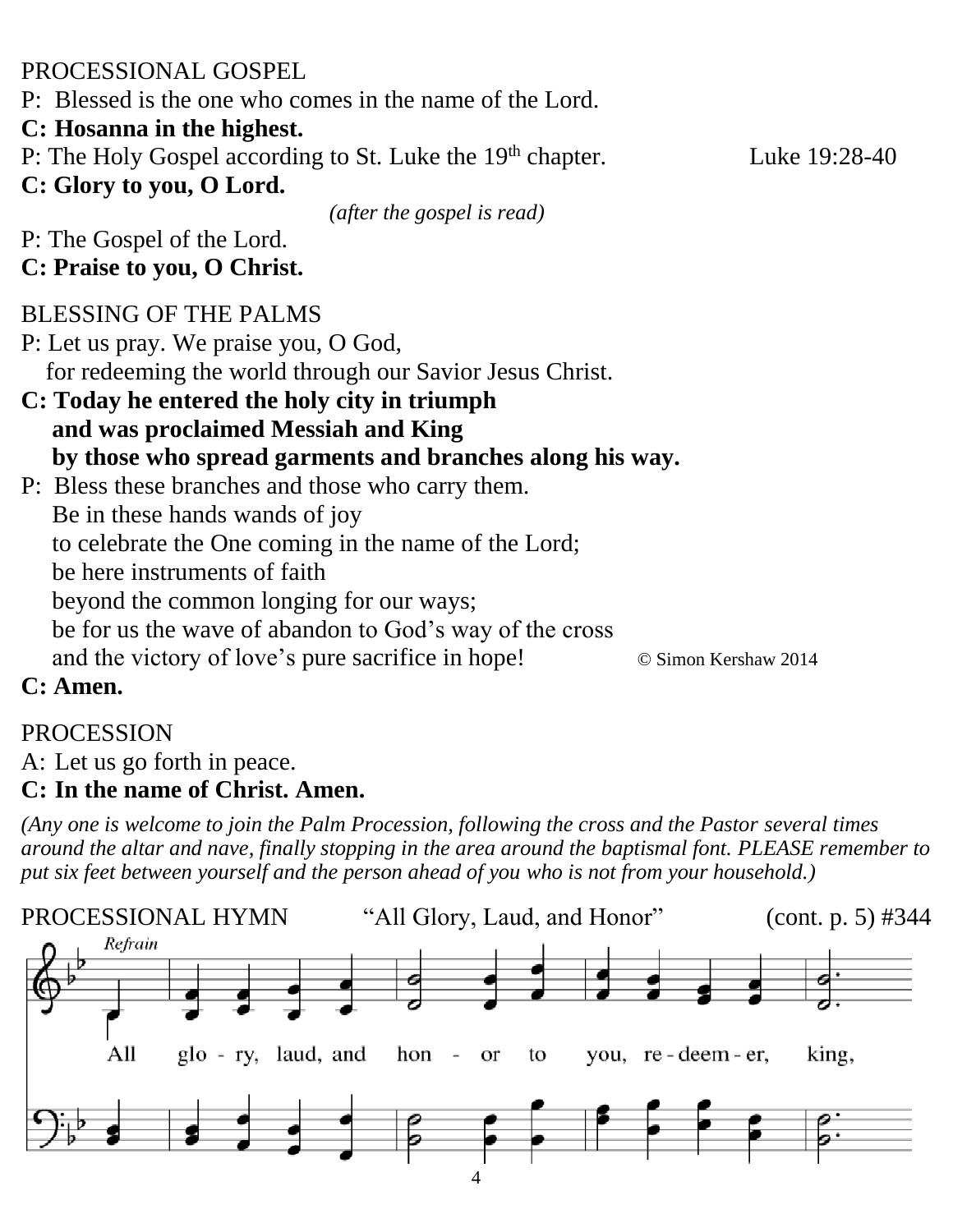PROCESSIONAL GOSPEL

P: Blessed is the one who comes in the name of the Lord.

#### **C: Hosanna in the highest.**

P: The Holy Gospel according to St. Luke the 19<sup>th</sup> chapter.

Luke  $19:28-40$ 

**C: Glory to you, O Lord.**

*(after the gospel is read)*

P: The Gospel of the Lord.

#### **C: Praise to you, O Christ.**

## BLESSING OF THE PALMS

P: Let us pray. We praise you, O God, for redeeming the world through our Savior Jesus Christ.

#### **C: Today he entered the holy city in triumph and was proclaimed Messiah and King by those who spread garments and branches along his way.**

P: Bless these branches and those who carry them. Be in these hands wands of joy to celebrate the One coming in the name of the Lord; be here instruments of faith beyond the common longing for our ways; be for us the wave of abandon to God's way of the cross and the victory of love's pure sacrifice in hope! © Simon Kershaw 2014

## **C: Amen.**

# PROCESSION

A: Let us go forth in peace.

## **C: In the name of Christ. Amen.**

*(Any one is welcome to join the Palm Procession, following the cross and the Pastor several times around the altar and nave, finally stopping in the area around the baptismal font. PLEASE remember to put six feet between yourself and the person ahead of you who is not from your household.)*

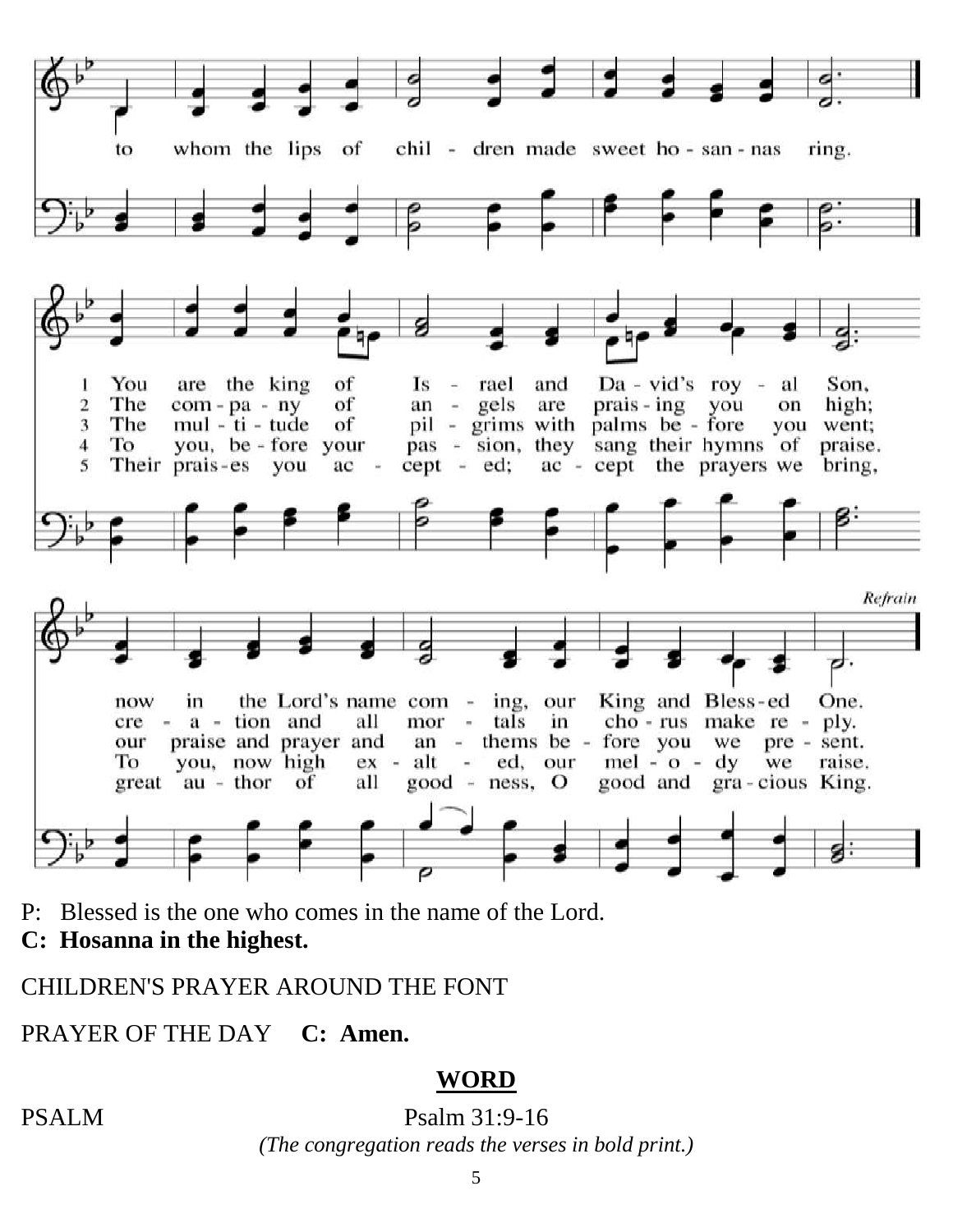

P: Blessed is the one who comes in the name of the Lord.

**C: Hosanna in the highest.**

CHILDREN'S PRAYER AROUND THE FONT

PRAYER OF THE DAY **C: Amen.**

## **WORD**

PSALM Psalm 31:9-16

*(The congregation reads the verses in bold print.)*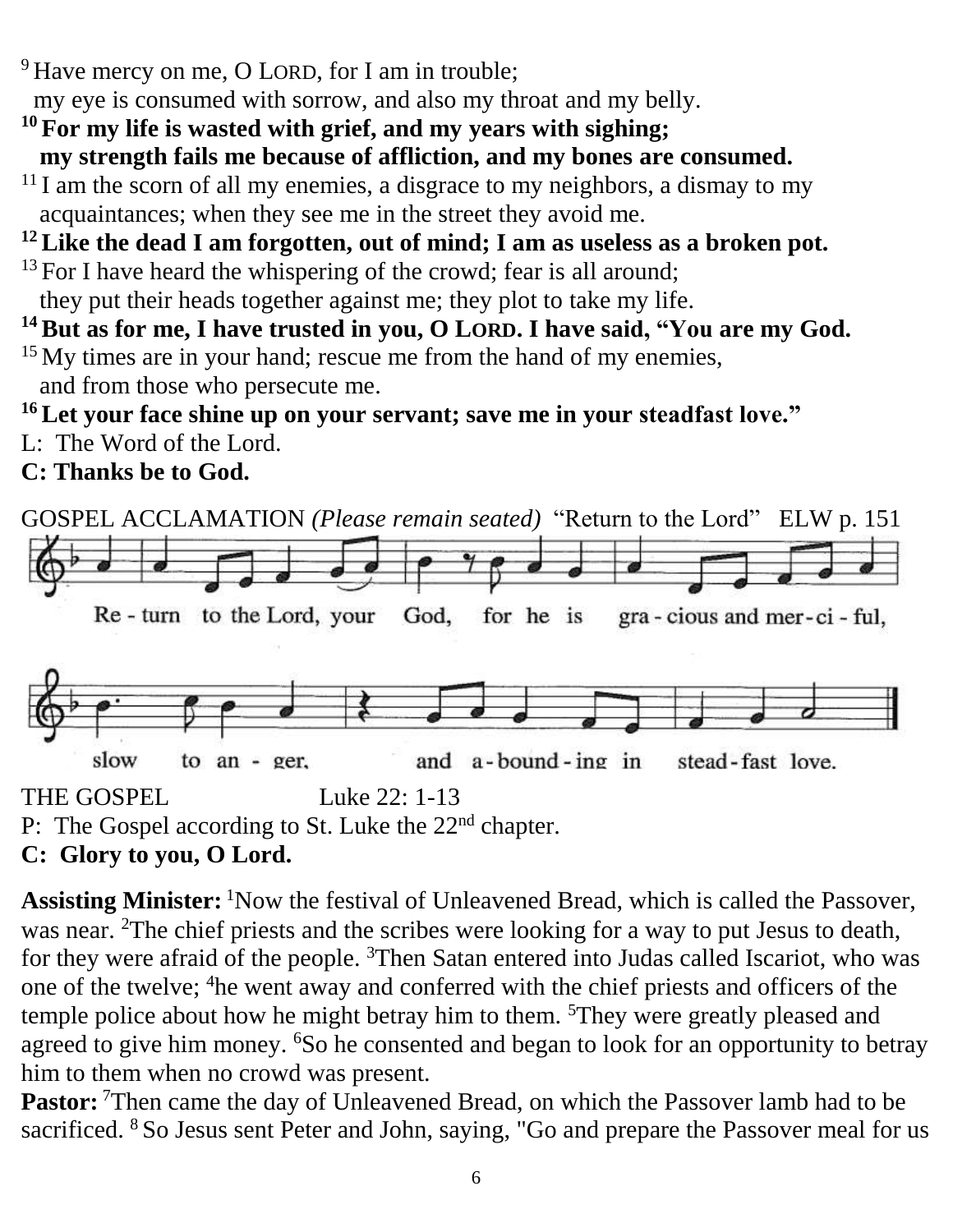<sup>9</sup> Have mercy on me, O LORD, for I am in trouble;

my eye is consumed with sorrow, and also my throat and my belly.

- **<sup>10</sup>For my life is wasted with grief, and my years with sighing; my strength fails me because of affliction, and my bones are consumed.**
- $11$  I am the scorn of all my enemies, a disgrace to my neighbors, a dismay to my acquaintances; when they see me in the street they avoid me.

#### **<sup>12</sup>Like the dead I am forgotten, out of mind; I am as useless as a broken pot.**

- $13$  For I have heard the whispering of the crowd; fear is all around; they put their heads together against me; they plot to take my life.
- **<sup>14</sup>But as for me, I have trusted in you, O LORD. I have said, "You are my God.**
- <sup>15</sup> My times are in your hand; rescue me from the hand of my enemies, and from those who persecute me.

#### **<sup>16</sup>Let your face shine up on your servant; save me in your steadfast love."**

L: The Word of the Lord.

**C: Thanks be to God.**



P: The Gospel according to St. Luke the 22<sup>nd</sup> chapter.

## **C: Glory to you, O Lord.**

Assisting Minister: <sup>1</sup>Now the festival of Unleavened Bread, which is called the Passover, was near. <sup>2</sup>The chief priests and the scribes were looking for a way to put Jesus to death, for they were afraid of the people. <sup>3</sup>Then Satan entered into Judas called Iscariot, who was one of the twelve; <sup>4</sup>he went away and conferred with the chief priests and officers of the temple police about how he might betray him to them. <sup>5</sup>They were greatly pleased and agreed to give him money. <sup>6</sup>So he consented and began to look for an opportunity to betray him to them when no crowd was present.

**Pastor:** <sup>7</sup>Then came the day of Unleavened Bread, on which the Passover lamb had to be sacrificed. <sup>8</sup>So Jesus sent Peter and John, saying, "Go and prepare the Passover meal for us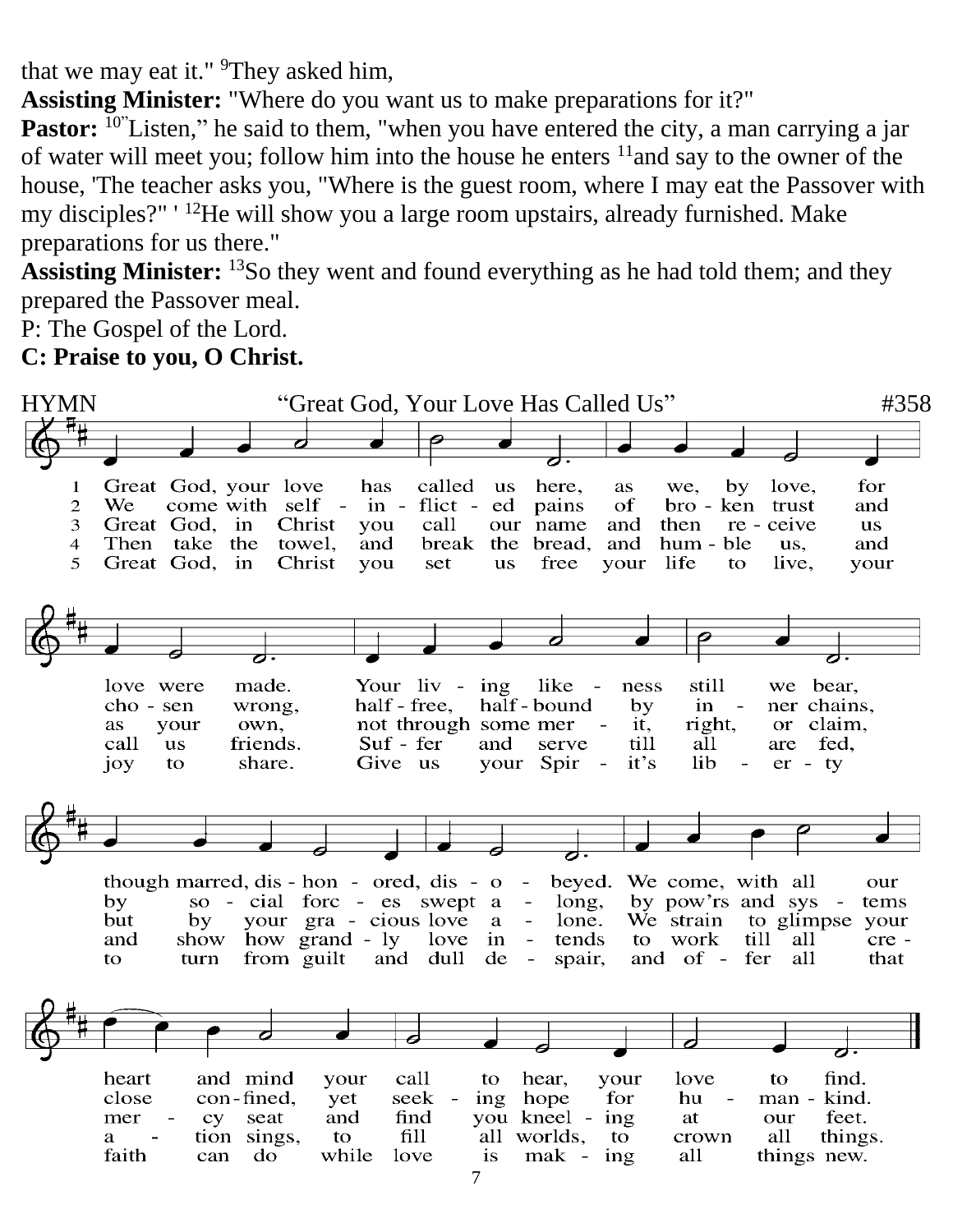that we may eat it." <sup>9</sup>They asked him,

**Assisting Minister:** "Where do you want us to make preparations for it?"

**Pastor:** <sup>10</sup>"Listen," he said to them, "when you have entered the city, a man carrying a jar of water will meet you; follow him into the house he enters  $11$  and say to the owner of the house, 'The teacher asks you, "Where is the guest room, where I may eat the Passover with my disciples?" ' <sup>12</sup>He will show you a large room upstairs, already furnished. Make preparations for us there."

Assisting Minister: <sup>13</sup>So they went and found everything as he had told them; and they prepared the Passover meal.

P: The Gospel of the Lord.

**C: Praise to you, O Christ.**



7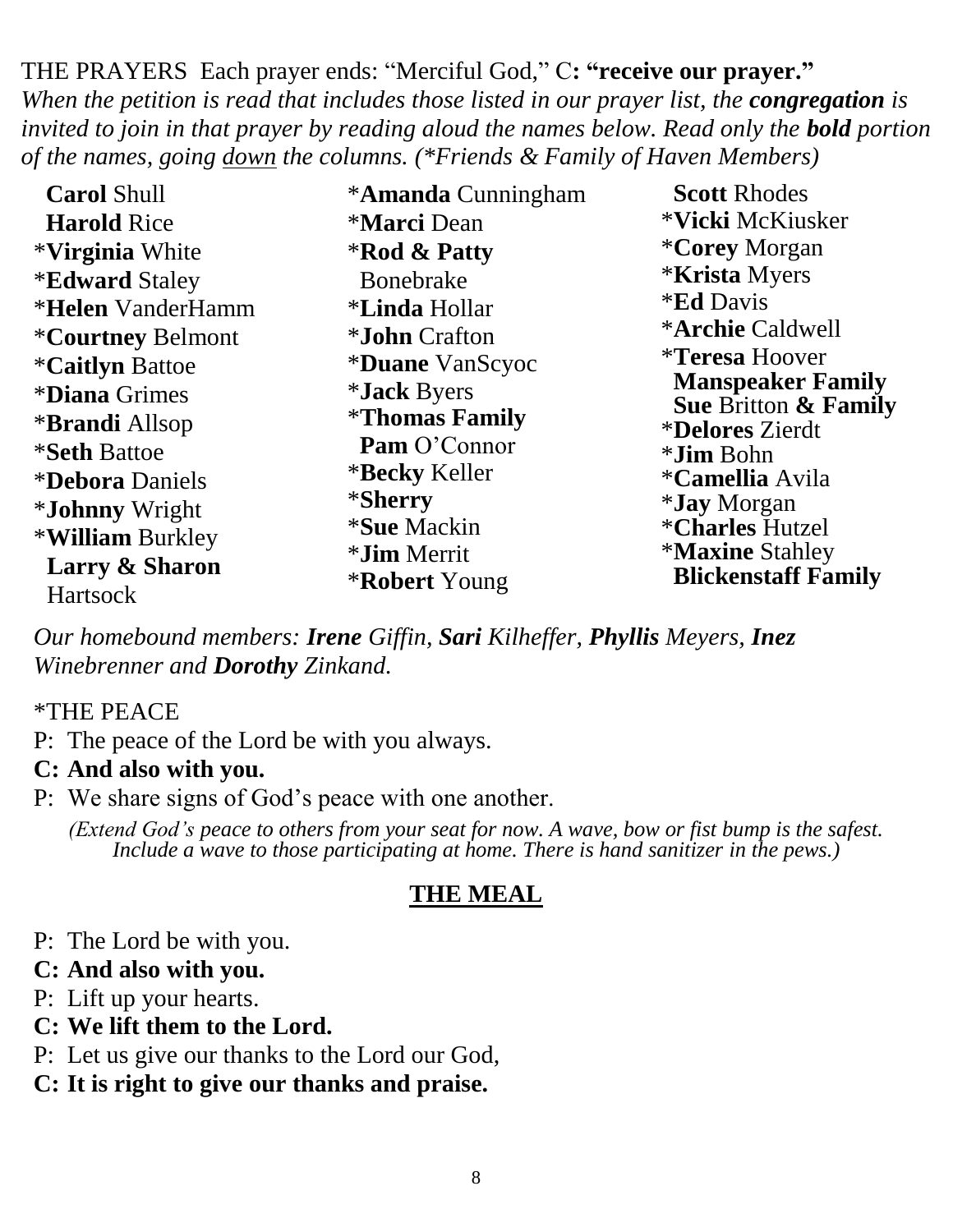THE PRAYERS Each prayer ends: "Merciful God," C**: "receive our prayer."** *When the petition is read that includes those listed in our prayer list, the congregation is invited to join in that prayer by reading aloud the names below. Read only the bold portion of the names, going down the columns. (\*Friends & Family of Haven Members)*

| <b>Carol Shull</b>              | <i><b>*Amanda Cunningham</b></i> | <b>Scott Rhodes</b>                                              |
|---------------------------------|----------------------------------|------------------------------------------------------------------|
| <b>Harold Rice</b>              | <i><b>*Marci</b></i> Dean        | *Vicki McKiusker                                                 |
| <i><b>*Virginia White</b></i>   | <b>*Rod &amp; Patty</b>          | <i><b>*Corey Morgan</b></i>                                      |
| <b>*Edward Staley</b>           | <b>Bonebrake</b>                 | <i><b>*Krista Myers</b></i>                                      |
| <i><b>*Helen</b></i> VanderHamm | <i><b>*Linda Hollar</b></i>      | <i><b>*Ed Davis</b></i>                                          |
| <i><b>*Courtney Belmont</b></i> | <i>*John</i> Crafton             | <i><b>*Archie Caldwell</b></i>                                   |
| <i><b>*Caitlyn Battoe</b></i>   | <i><b>*Duane VanScyoc</b></i>    | <i><b>*Teresa Hoover</b></i>                                     |
| <i><b>*Diana Grimes</b></i>     | <i>*Jack Byers</i>               | <b>Manspeaker Family</b>                                         |
| <i><b>*Brandi</b></i> Allsop    | <i><b>*Thomas Family</b></i>     | <b>Sue Britton &amp; Family</b><br><i><b>*Delores Zierdt</b></i> |
| <i><b>*Seth Battoe</b></i>      | <b>Pam O'Connor</b>              | * <b>Jim</b> Bohn                                                |
| <i><b>*Debora Daniels</b></i>   | * <b>Becky</b> Keller            | <i><b>*Camellia Avila</b></i>                                    |
| <i><b>*Johnny Wright</b></i>    | <i><b>*Sherry</b></i>            | <i>*Jay Morgan</i>                                               |
| * <b>William Burkley</b>        | <i>*Sue Mackin</i>               | <i><b>*Charles Hutzel</b></i>                                    |
| Larry & Sharon                  | <i>*Jim Merrit</i>               | <i><b>*Maxine Stahley</b></i><br><b>Blickenstaff Family</b>      |
| <b>Hartsock</b>                 | <b>*Robert</b> Young             |                                                                  |

*Our homebound members: Irene Giffin, Sari Kilheffer, Phyllis Meyers, Inez Winebrenner and Dorothy Zinkand.*

#### \*THE PEACE

P: The peace of the Lord be with you always.

#### **C: And also with you.**

P: We share signs of God's peace with one another.

*(Extend God's peace to others from your seat for now. A wave, bow or fist bump is the safest. Include a wave to those participating at home. There is hand sanitizer in the pews.)*

## **THE MEAL**

P: The Lord be with you.

#### **C: And also with you.**

- P: Lift up your hearts.
- **C: We lift them to the Lord.**
- P: Let us give our thanks to the Lord our God,
- **C: It is right to give our thanks and praise.**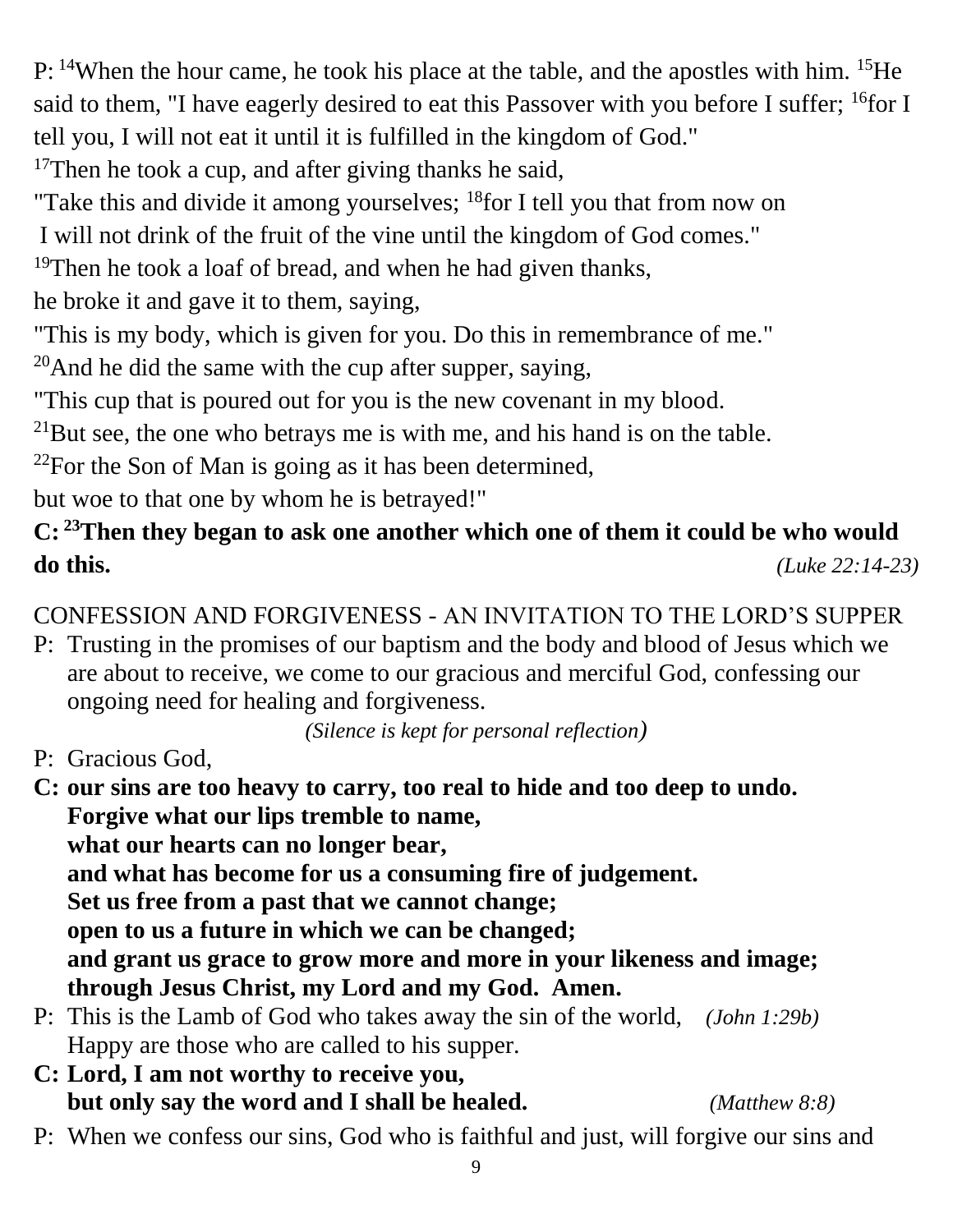P: <sup>14</sup>When the hour came, he took his place at the table, and the apostles with him. <sup>15</sup>He said to them, "I have eagerly desired to eat this Passover with you before I suffer; <sup>16</sup>for I tell you, I will not eat it until it is fulfilled in the kingdom of God."

<sup>17</sup>Then he took a cup, and after giving thanks he said,

"Take this and divide it among yourselves;  $^{18}$  for I tell you that from now on

I will not drink of the fruit of the vine until the kingdom of God comes."

<sup>19</sup>Then he took a loaf of bread, and when he had given thanks,

he broke it and gave it to them, saying,

"This is my body, which is given for you. Do this in remembrance of me."

 $20$ And he did the same with the cup after supper, saying,

"This cup that is poured out for you is the new covenant in my blood.

 $^{21}$ But see, the one who betrays me is with me, and his hand is on the table.

 $2^{22}$ For the Son of Man is going as it has been determined,

but woe to that one by whom he is betrayed!"

# **C: <sup>23</sup>Then they began to ask one another which one of them it could be who would do this.** *(Luke 22:14-23)*

# CONFESSION AND FORGIVENESS - AN INVITATION TO THE LORD'S SUPPER

P: Trusting in the promises of our baptism and the body and blood of Jesus which we are about to receive, we come to our gracious and merciful God, confessing our ongoing need for healing and forgiveness.

*(Silence is kept for personal reflection)*

- P: Gracious God,
- **C: our sins are too heavy to carry, too real to hide and too deep to undo. Forgive what our lips tremble to name, what our hearts can no longer bear, and what has become for us a consuming fire of judgement. Set us free from a past that we cannot change; open to us a future in which we can be changed; and grant us grace to grow more and more in your likeness and image; through Jesus Christ, my Lord and my God. Amen.**
- P: This is the Lamb of God who takes away the sin of the world, *(John 1:29b)* Happy are those who are called to his supper.
- **C: Lord, I am not worthy to receive you, but only say the word and I shall be healed.** *(Matthew 8:8)*
- P: When we confess our sins, God who is faithful and just, will forgive our sins and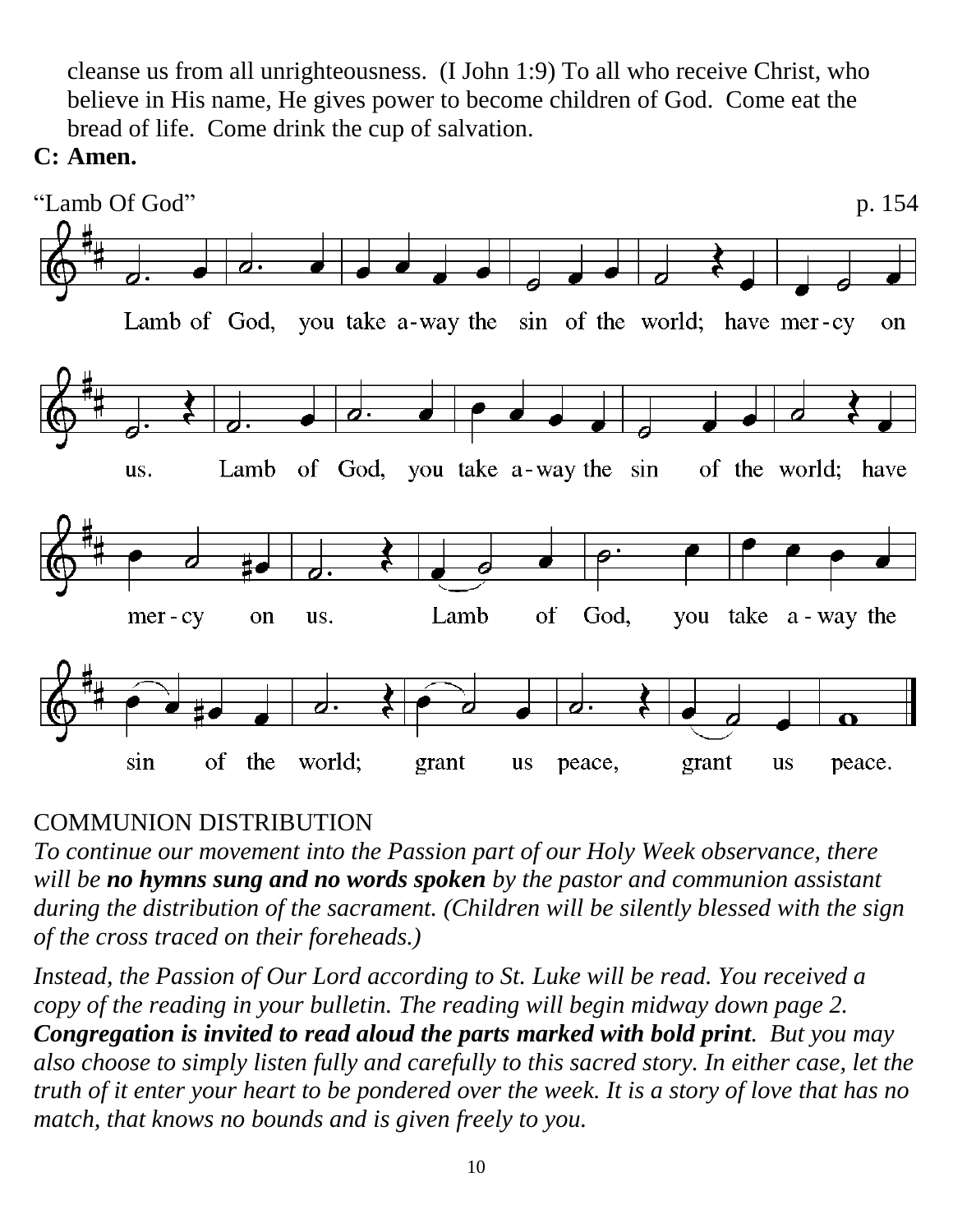cleanse us from all unrighteousness. (I John 1:9) To all who receive Christ, who believe in His name, He gives power to become children of God. Come eat the bread of life. Come drink the cup of salvation.

#### **C: Amen.**



## COMMUNION DISTRIBUTION

*To continue our movement into the Passion part of our Holy Week observance, there will be no hymns sung and no words spoken by the pastor and communion assistant during the distribution of the sacrament. (Children will be silently blessed with the sign of the cross traced on their foreheads.)*

*Instead, the Passion of Our Lord according to St. Luke will be read. You received a copy of the reading in your bulletin. The reading will begin midway down page 2. Congregation is invited to read aloud the parts marked with bold print. But you may also choose to simply listen fully and carefully to this sacred story. In either case, let the truth of it enter your heart to be pondered over the week. It is a story of love that has no match, that knows no bounds and is given freely to you.*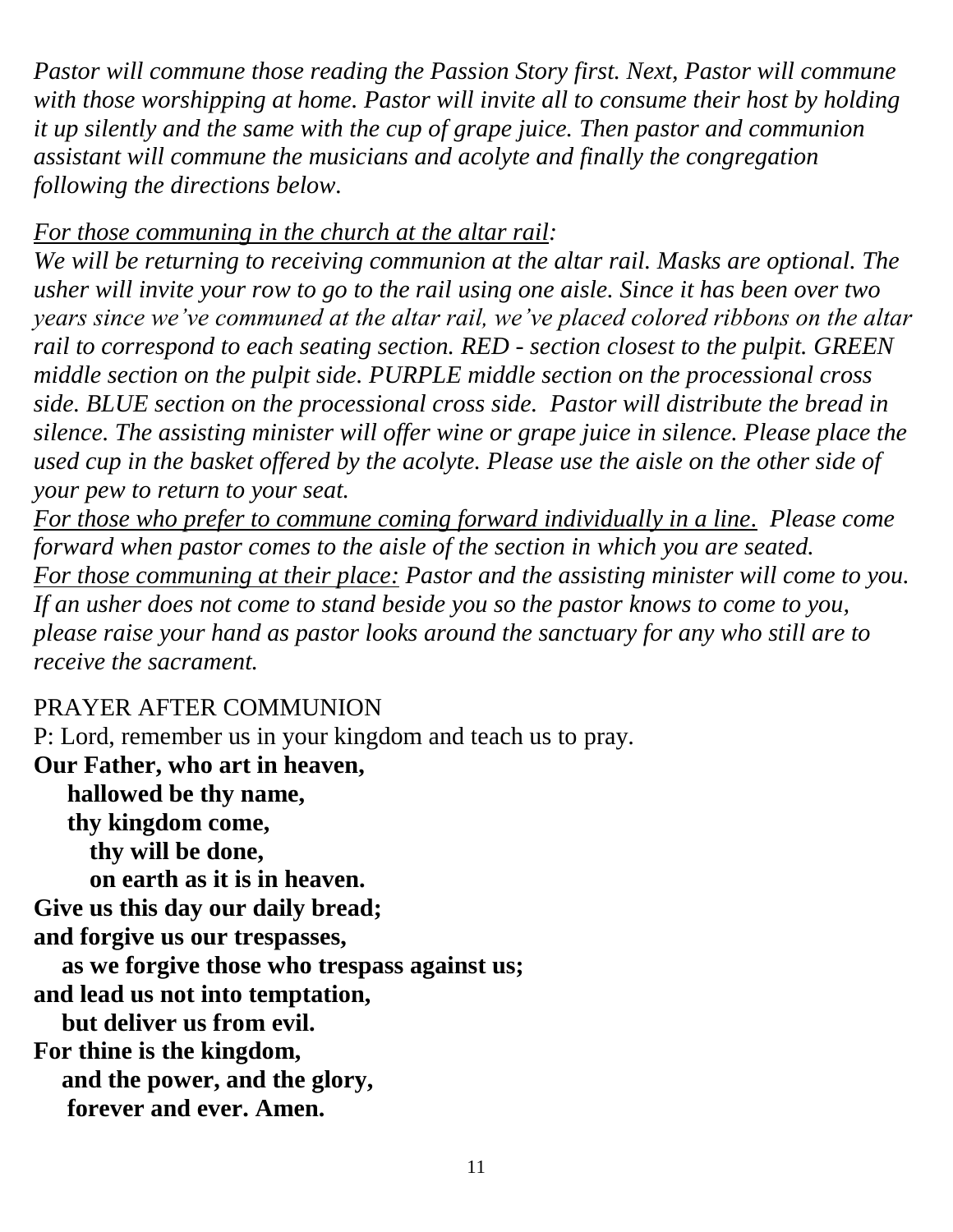*Pastor will commune those reading the Passion Story first. Next, Pastor will commune with those worshipping at home. Pastor will invite all to consume their host by holding it up silently and the same with the cup of grape juice. Then pastor and communion assistant will commune the musicians and acolyte and finally the congregation following the directions below.*

#### *For those communing in the church at the altar rail:*

*We will be returning to receiving communion at the altar rail. Masks are optional. The usher will invite your row to go to the rail using one aisle. Since it has been over two years since we've communed at the altar rail, we've placed colored ribbons on the altar rail to correspond to each seating section. RED - section closest to the pulpit. GREEN middle section on the pulpit side. PURPLE middle section on the processional cross side. BLUE section on the processional cross side. Pastor will distribute the bread in silence. The assisting minister will offer wine or grape juice in silence. Please place the used cup in the basket offered by the acolyte. Please use the aisle on the other side of your pew to return to your seat.*

*For those who prefer to commune coming forward individually in a line. Please come forward when pastor comes to the aisle of the section in which you are seated. For those communing at their place: Pastor and the assisting minister will come to you. If an usher does not come to stand beside you so the pastor knows to come to you, please raise your hand as pastor looks around the sanctuary for any who still are to receive the sacrament.*

## PRAYER AFTER COMMUNION

P: Lord, remember us in your kingdom and teach us to pray.

**Our Father, who art in heaven, hallowed be thy name, thy kingdom come, thy will be done, on earth as it is in heaven. Give us this day our daily bread; and forgive us our trespasses, as we forgive those who trespass against us; and lead us not into temptation, but deliver us from evil. For thine is the kingdom, and the power, and the glory,**

**forever and ever. Amen.**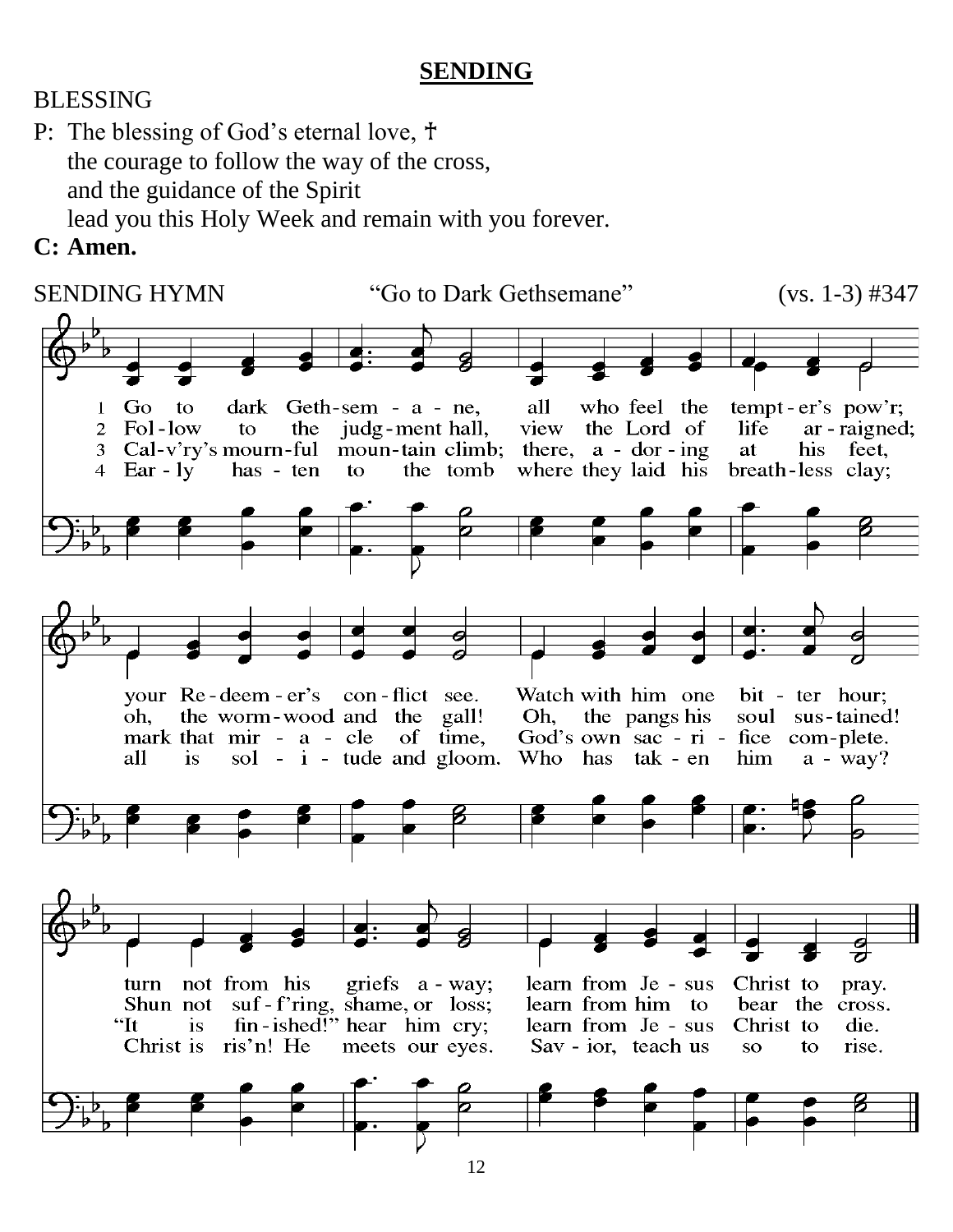#### **SENDING**

#### BLESSING

- P: The blessing of God's eternal love,  $\dagger$ the courage to follow the way of the cross, and the guidance of the Spirit lead you this Holy Week and remain with you forever.
- **C: Amen.**

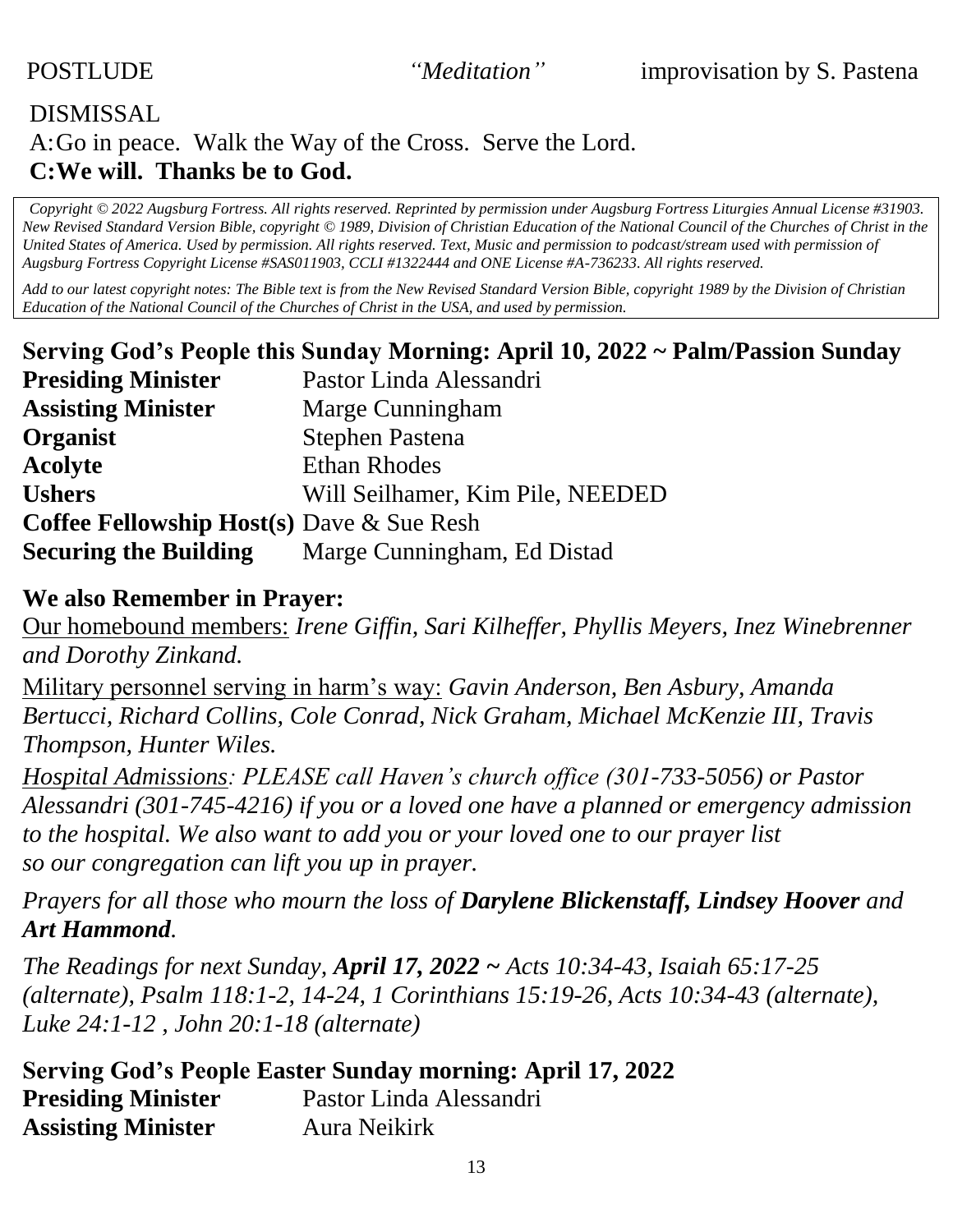## DISMISSAL A:Go in peace. Walk the Way of the Cross. Serve the Lord. **C:We will. Thanks be to God.**

*Copyright © 2022 Augsburg Fortress. All rights reserved. Reprinted by permission under Augsburg Fortress Liturgies Annual License #31903. New Revised Standard Version Bible, copyright © 1989, Division of Christian Education of the National Council of the Churches of Christ in the United States of America. Used by permission. All rights reserved. Text, Music and permission to podcast/stream used with permission of Augsburg Fortress Copyright License #SAS011903, CCLI #1322444 and ONE License #A-736233. All rights reserved.*

*Add to our latest copyright notes: The Bible text is from the New Revised Standard Version Bible, copyright 1989 by the Division of Christian Education of the National Council of the Churches of Christ in the USA, and used by permission.*

|                                                     | Serving God's People this Sunday Morning: April 10, 2022 ~ Palm/Passion Sunday |
|-----------------------------------------------------|--------------------------------------------------------------------------------|
| <b>Presiding Minister</b>                           | Pastor Linda Alessandri                                                        |
| <b>Assisting Minister</b>                           | Marge Cunningham                                                               |
| Organist                                            | <b>Stephen Pastena</b>                                                         |
| <b>Acolyte</b>                                      | <b>Ethan Rhodes</b>                                                            |
| <b>Ushers</b>                                       | Will Seilhamer, Kim Pile, NEEDED                                               |
| <b>Coffee Fellowship Host(s)</b> Dave $\&$ Sue Resh |                                                                                |
| <b>Securing the Building</b>                        | Marge Cunningham, Ed Distad                                                    |

#### **We also Remember in Prayer:**

Our homebound members: *Irene Giffin, Sari Kilheffer, Phyllis Meyers, Inez Winebrenner and Dorothy Zinkand.*

Military personnel serving in harm's way: *Gavin Anderson, Ben Asbury, Amanda Bertucci, Richard Collins, Cole Conrad, Nick Graham, Michael McKenzie III, Travis Thompson, Hunter Wiles.* 

*Hospital Admissions: PLEASE call Haven's church office (301-733-5056) or Pastor Alessandri (301-745-4216) if you or a loved one have a planned or emergency admission to the hospital. We also want to add you or your loved one to our prayer list so our congregation can lift you up in prayer.*

*Prayers for all those who mourn the loss of Darylene Blickenstaff, Lindsey Hoover and Art Hammond.*

*The Readings for next Sunday, April 17, 2022 ~ Acts 10:34-43, Isaiah 65:17-25 (alternate), Psalm 118:1-2, 14-24, 1 Corinthians 15:19-26, Acts 10:34-43 (alternate), Luke 24:1-12 , John 20:1-18 (alternate)* 

|                           | <b>Serving God's People Easter Sunday morning: April 17, 2022</b> |
|---------------------------|-------------------------------------------------------------------|
| <b>Presiding Minister</b> | Pastor Linda Alessandri                                           |
| <b>Assisting Minister</b> | Aura Neikirk                                                      |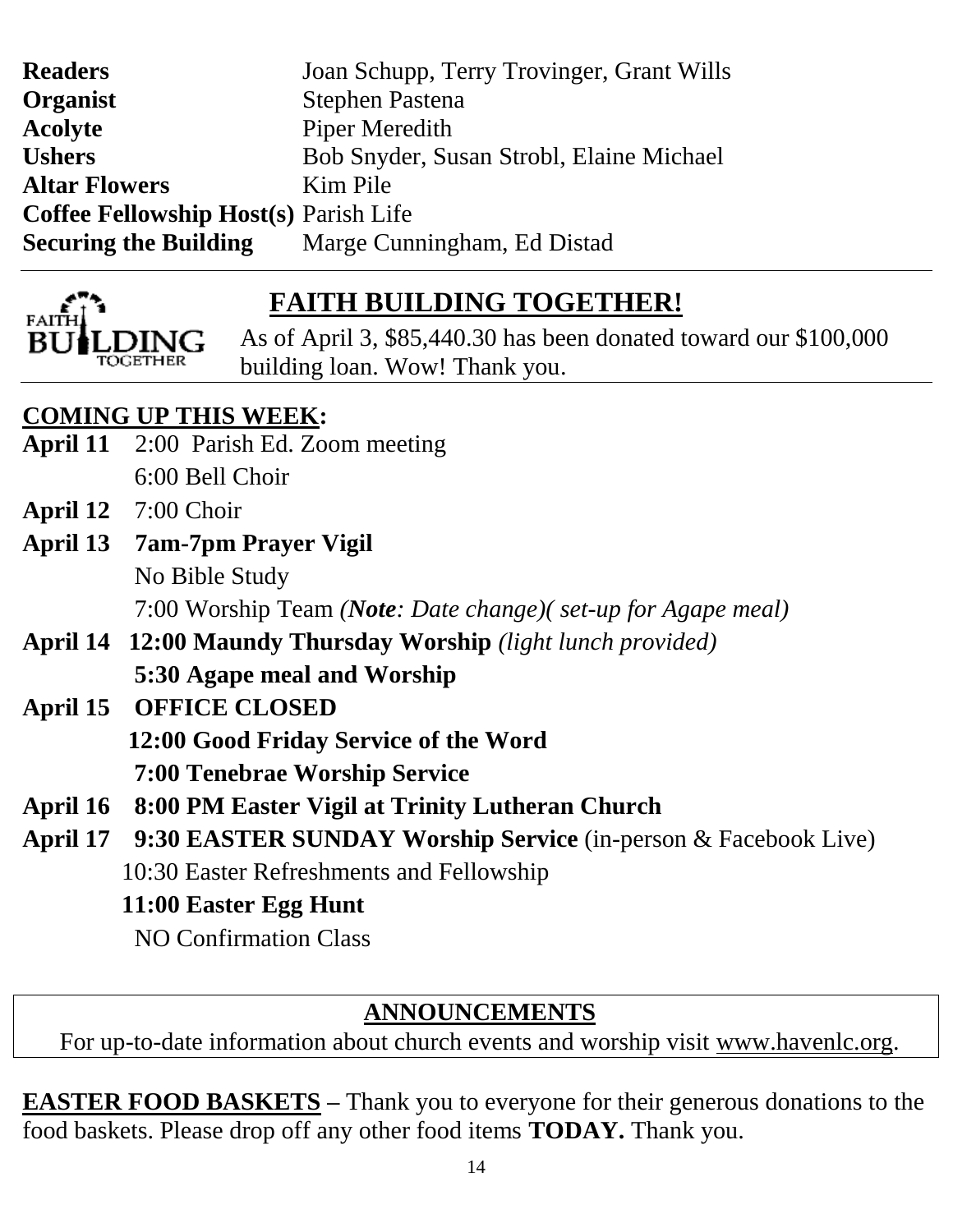| Joan Schupp, Terry Trovinger, Grant Wills |  |
|-------------------------------------------|--|
|                                           |  |
|                                           |  |
| Bob Snyder, Susan Strobl, Elaine Michael  |  |
|                                           |  |
|                                           |  |
|                                           |  |
|                                           |  |



# **FAITH BUILDING TOGETHER!**

 As of April 3, \$85,440.30 has been donated toward our \$100,000 building loan. Wow! Thank you.

# **COMING UP THIS WEEK:**

- **April 11** 2:00 Parish Ed. Zoom meeting 6:00 Bell Choir
- **April 12** 7:00 Choir
- **April 13 7am-7pm Prayer Vigil** No Bible Study 7:00 Worship Team *(Note: Date change)( set-up for Agape meal)*
- **April 14 12:00 Maundy Thursday Worship** *(light lunch provided)* **5:30 Agape meal and Worship**
- **April 15 OFFICE CLOSED 12:00 Good Friday Service of the Word 7:00 Tenebrae Worship Service**
- **April 16 8:00 PM Easter Vigil at Trinity Lutheran Church**
- **April 17 9:30 EASTER SUNDAY Worship Service** (in-person & Facebook Live) 10:30 Easter Refreshments and Fellowship

 **11:00 Easter Egg Hunt** 

NO Confirmation Class

# **ANNOUNCEMENTS**

For up-to-date information about church events and worship visit [www.havenlc.org.](http://www.havenlc.org/)

**EASTER FOOD BASKETS –** Thank you to everyone for their generous donations to the food baskets. Please drop off any other food items **TODAY.** Thank you.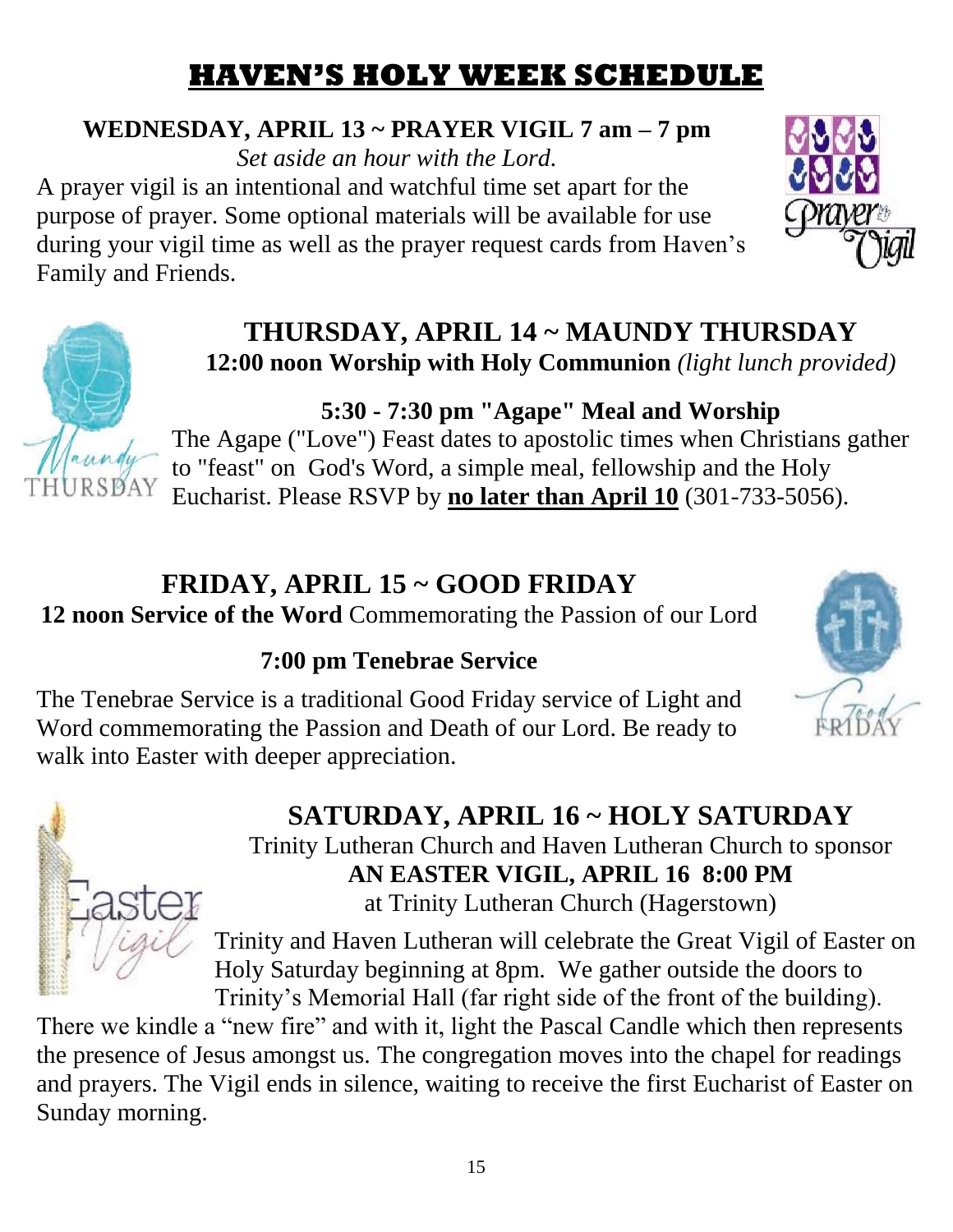# **HAVEN'S HOLY WEEK SCHEDULE**

# **WEDNESDAY, APRIL 13 ~ PRAYER VIGIL 7 am – 7 pm**

*Set aside an hour with the Lord.* A prayer vigil is an intentional and watchful time set apart for the purpose of prayer. Some optional materials will be available for use during your vigil time as well as the prayer request cards from Haven's Family and Friends.





## **THURSDAY, APRIL 14 ~ MAUNDY THURSDAY 12:00 noon Worship with Holy Communion** *(light lunch provided)*

# **5:30 - 7:30 pm "Agape" Meal and Worship**

The Agape ("Love") Feast dates to apostolic times when Christians gather to "feast" on God's Word, a simple meal, fellowship and the Holy Eucharist. Please RSVP by **no later than April 10** (301-733-5056).

# **FRIDAY, APRIL 15 ~ GOOD FRIDAY**

**12 noon Service of the Word** Commemorating the Passion of our Lord

# **7:00 pm Tenebrae Service**

The Tenebrae Service is a traditional Good Friday service of Light and Word commemorating the Passion and Death of our Lord. Be ready to walk into Easter with deeper appreciation.





# **SATURDAY, APRIL 16 ~ HOLY SATURDAY**

Trinity Lutheran Church and Haven Lutheran Church to sponsor **AN EASTER VIGIL, APRIL 16 8:00 PM** at Trinity Lutheran Church (Hagerstown)

Trinity and Haven Lutheran will celebrate the Great Vigil of Easter on Holy Saturday beginning at 8pm. We gather outside the doors to Trinity's Memorial Hall (far right side of the front of the building).

There we kindle a "new fire" and with it, light the Pascal Candle which then represents the presence of Jesus amongst us. The congregation moves into the chapel for readings and prayers. The Vigil ends in silence, waiting to receive the first Eucharist of Easter on Sunday morning.